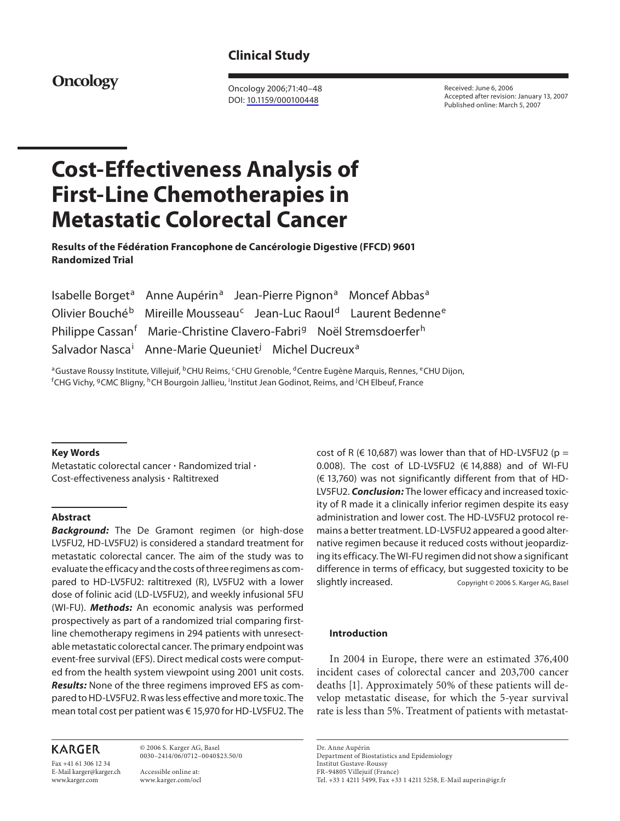# **Clinical Study**

# **Oncology**

 Oncology 2006;71:40–48 DOI: [10.1159/000100448](http://dx.doi.org/10.1159%2F000100448)

 Received: June 6, 2006 Accepted after revision: January 13, 2007 Published online: March 5, 2007

# **Cost-Effectiveness Analysis of First-Line Chemotherapies in Metastatic Colorectal Cancer**

 **Results of the Fédération Francophone de Cancérologie Digestive (FFCD) 9601 Randomized Trial** 

 Isabelle Borget <sup>a</sup> Anne Aupérin<sup>a</sup> Jean-Pierre Pignon<sup>a</sup> Moncef Abbas<sup>a</sup> Olivier Bouché<sup>b</sup> Mireille Mousseau<sup>c</sup> Jean-Luc Raoul<sup>d</sup> Laurent Bedenne<sup>e</sup> Philippe Cassan<sup>f</sup> <sup>f</sup> Marie-Christine Clavero-Fabri<sup>g</sup> Noël Stremsdoerfer<sup>h</sup> Salvador Nasca<sup>i</sup> <sup>i</sup> Anne-Marie Queuniet<sup>j</sup> Michel Ducreux<sup>a</sup>

<sup>a</sup>Gustave Roussy Institute, Villejuif, <sup>b</sup>CHU Reims, <sup>c</sup>CHU Grenoble, <sup>d</sup>Centre Eugène Marquis, Rennes, <sup>e</sup>CHU Dijon,<br><sup>f</sup>CHG Vichy <sup>g</sup>CMC Bligny, <sup>h</sup>CH Bourgoin, Jallieu, <sup>i</sup>lnstitut, Jean Godinot, Beims, and ICH Elbeuf, CHG Vichy, <sup>g</sup>CMC Bligny, <sup>h</sup>CH Bourgoin Jallieu, <sup>i</sup> Institut Jean Godinot, Reims, and <sup>j</sup>CH Elbeuf, France

# **Key Words**

Metastatic colorectal cancer  $\cdot$  Randomized trial  $\cdot$ Cost-effectiveness analysis · Raltitrexed

# **Abstract**

 *Background:* The De Gramont regimen (or high-dose LV5FU2, HD-LV5FU2) is considered a standard treatment for metastatic colorectal cancer. The aim of the study was to evaluate the efficacy and the costs of three regimens as compared to HD-LV5FU2: raltitrexed (R), LV5FU2 with a lower dose of folinic acid (LD-LV5FU2), and weekly infusional 5FU (WI-FU). *Methods:* An economic analysis was performed prospectively as part of a randomized trial comparing firstline chemotherapy regimens in 294 patients with unresectable metastatic colorectal cancer. The primary endpoint was event-free survival (EFS). Direct medical costs were computed from the health system viewpoint using 2001 unit costs.  *Results:* None of the three regimens improved EFS as compared to HD-LV5FU2. R was less effective and more toxic. The mean total cost per patient was € 15,970 for HD-LV5FU2. The

# **KARGER**

Fax +41 61 306 12 34 E-Mail karger@karger.ch www.karger.com

 © 2006 S. Karger AG, Basel 0030–2414/06/0712–0040\$23.50/0

 Accessible online at: www.karger.com/ocl cost of R ( $\in$  10,687) was lower than that of HD-LV5FU2 (p = 0.008). The cost of LD-LV5FU2 ( $\in$  14,888) and of WI-FU (€ 13,760) was not significantly different from that of HD-LV5FU2. *Conclusion:* The lower efficacy and increased toxicity of R made it a clinically inferior regimen despite its easy administration and lower cost. The HD-LV5FU2 protocol remains a better treatment. LD-LV5FU2 appeared a good alternative regimen because it reduced costs without jeopardizing its efficacy. The WI-FU regimen did not show a significant difference in terms of efficacy, but suggested toxicity to be slightly increased. Copyright © 2006 S. Karger AG, Basel

### **Introduction**

 In 2004 in Europe, there were an estimated 376,400 incident cases of colorectal cancer and 203,700 cancer deaths [1]. Approximately 50% of these patients will develop metastatic disease, for which the 5-year survival rate is less than 5%. Treatment of patients with metastat-

 Dr. Anne Aupérin Department of Biostatistics and Epidemiology Institut Gustave-Roussy FR–94805 Villejuif (France) Tel. +33 1 4211 5499, Fax +33 1 4211 5258, E-Mail auperin@igr.fr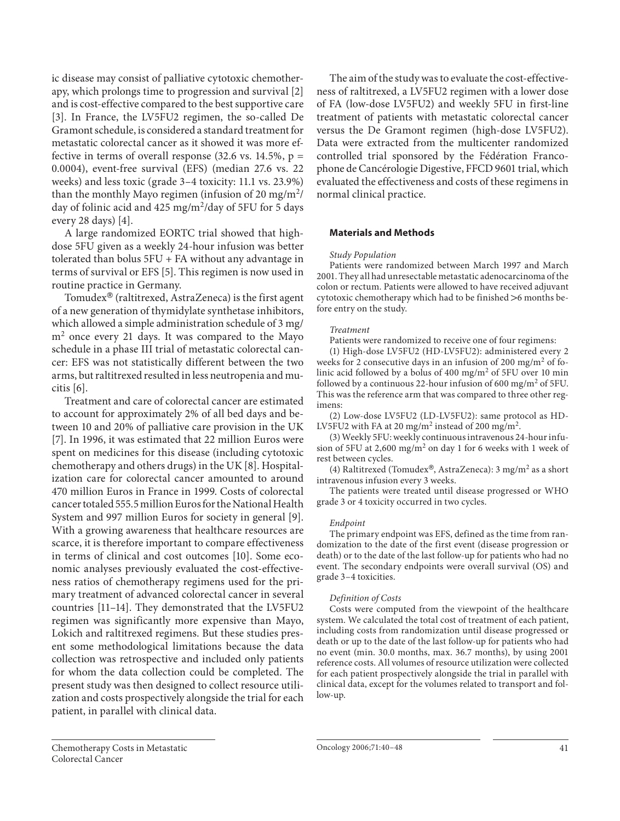ic disease may consist of palliative cytotoxic chemotherapy, which prolongs time to progression and survival [2] and is cost-effective compared to the best supportive care [3]. In France, the LV5FU2 regimen, the so-called De Gramont schedule, is considered a standard treatment for metastatic colorectal cancer as it showed it was more effective in terms of overall response  $(32.6 \text{ vs. } 14.5\%, \text{ p} =$ 0.0004), event-free survival (EFS) (median 27.6 vs. 22 weeks) and less toxic (grade 3–4 toxicity: 11.1 vs. 23.9%) than the monthly Mayo regimen (infusion of 20 mg/m<sup>2</sup>/ day of folinic acid and  $425 \text{ mg/m}^2/\text{day}$  of 5FU for 5 days every 28 days) [4].

 A large randomized EORTC trial showed that highdose 5FU given as a weekly 24-hour infusion was better tolerated than bolus 5FU + FA without any advantage in terms of survival or EFS [5]. This regimen is now used in routine practice in Germany.

Tomudex $^{\circledR}$  (raltitrexed, AstraZeneca) is the first agent of a new generation of thymidylate synthetase inhibitors, which allowed a simple administration schedule of 3 mg/  $m<sup>2</sup>$  once every 21 days. It was compared to the Mayo schedule in a phase III trial of metastatic colorectal cancer: EFS was not statistically different between the two arms, but raltitrexed resulted in less neutropenia and mucitis [6] .

 Treatment and care of colorectal cancer are estimated to account for approximately 2% of all bed days and between 10 and 20% of palliative care provision in the UK [7]. In 1996, it was estimated that 22 million Euros were spent on medicines for this disease (including cytotoxic chemotherapy and others drugs) in the UK [8] . Hospitalization care for colorectal cancer amounted to around 470 million Euros in France in 1999. Costs of colorectal cancer totaled 555.5 million Euros for the National Health System and 997 million Euros for society in general [9]. With a growing awareness that healthcare resources are scarce, it is therefore important to compare effectiveness in terms of clinical and cost outcomes [10]. Some economic analyses previously evaluated the cost-effectiveness ratios of chemotherapy regimens used for the primary treatment of advanced colorectal cancer in several countries [11–14]. They demonstrated that the LV5FU2 regimen was significantly more expensive than Mayo, Lokich and raltitrexed regimens. But these studies present some methodological limitations because the data collection was retrospective and included only patients for whom the data collection could be completed. The present study was then designed to collect resource utilization and costs prospectively alongside the trial for each patient, in parallel with clinical data.

 The aim of the study was to evaluate the cost-effectiveness of raltitrexed, a LV5FU2 regimen with a lower dose of FA (low-dose LV5FU2) and weekly 5FU in first-line treatment of patients with metastatic colorectal cancer versus the De Gramont regimen (high-dose LV5FU2). Data were extracted from the multicenter randomized controlled trial sponsored by the Fédération Francophone de Cancérologie Digestive, FFCD 9601 trial, which evaluated the effectiveness and costs of these regimens in normal clinical practice.

# **Materials and Methods**

#### *Study Population*

 Patients were randomized between March 1997 and March 2001. They all had unresectable metastatic adenocarcinoma of the colon or rectum. Patients were allowed to have received adjuvant cytotoxic chemotherapy which had to be finished  $>6$  months before entry on the study.

# *Treatment*

Patients were randomized to receive one of four regimens:

 (1) High-dose LV5FU2 (HD-LV5FU2): administered every 2 weeks for 2 consecutive days in an infusion of 200 mg/m<sup>2</sup> of folinic acid followed by a bolus of 400 mg/m<sup>2</sup> of 5FU over 10 min followed by a continuous 22-hour infusion of 600 mg/m<sup>2</sup> of 5FU. This was the reference arm that was compared to three other regimens:

 (2) Low-dose LV5FU2 (LD-LV5FU2): same protocol as HD-LV5FU2 with FA at 20 mg/m<sup>2</sup> instead of 200 mg/m<sup>2</sup>.

 (3) Weekly 5FU: weekly continuous intravenous 24-hour infusion of 5FU at 2,600 mg/m<sup>2</sup> on day 1 for 6 weeks with 1 week of rest between cycles.

(4) Raltitrexed (Tomudex®, AstraZeneca): 3 mg/m<sup>2</sup> as a short intravenous infusion every 3 weeks.

 The patients were treated until disease progressed or WHO grade 3 or 4 toxicity occurred in two cycles.

#### *Endpoint*

 The primary endpoint was EFS, defined as the time from randomization to the date of the first event (disease progression or death) or to the date of the last follow-up for patients who had no event. The secondary endpoints were overall survival (OS) and grade 3–4 toxicities.

# *Definition of Costs*

 Costs were computed from the viewpoint of the healthcare system. We calculated the total cost of treatment of each patient, including costs from randomization until disease progressed or death or up to the date of the last follow-up for patients who had no event (min. 30.0 months, max. 36.7 months), by using 2001 reference costs. All volumes of resource utilization were collected for each patient prospectively alongside the trial in parallel with clinical data, except for the volumes related to transport and follow-up.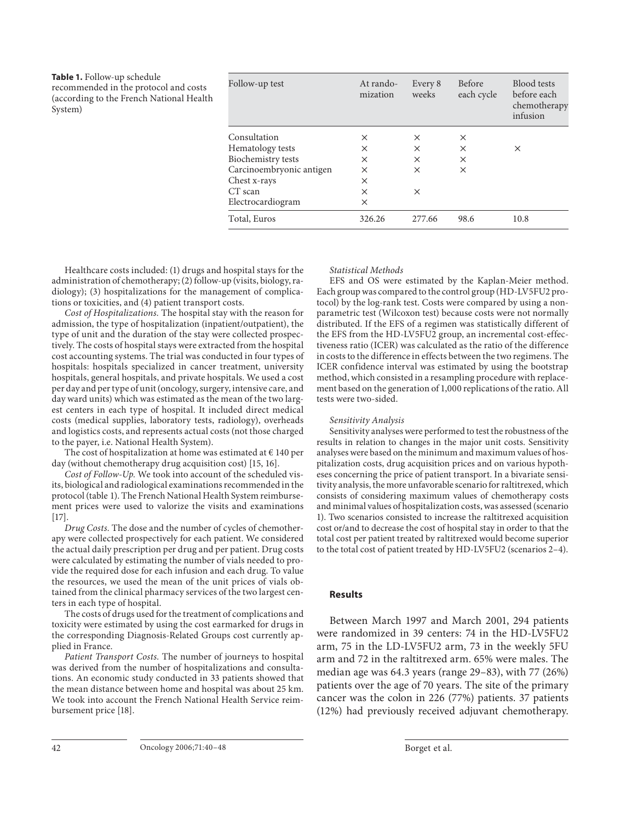| Table 1. Follow-up schedule<br>recommended in the protocol and costs<br>(according to the French National Health<br>System) | Follow-up test           | At rando-<br>mization | Every 8<br>weeks | Before<br>each cycle | Blood tests<br>before each<br>chemotherapy<br>infusion |
|-----------------------------------------------------------------------------------------------------------------------------|--------------------------|-----------------------|------------------|----------------------|--------------------------------------------------------|
|                                                                                                                             | Consultation             | $\times$              | $\times$         | ×                    |                                                        |
|                                                                                                                             | Hematology tests         | $\times$              | $\times$         | $\times$             | $\times$                                               |
|                                                                                                                             | Biochemistry tests       | ×                     | X                | ×                    |                                                        |
|                                                                                                                             | Carcinoembryonic antigen | $\times$              | X                | ×                    |                                                        |
|                                                                                                                             | Chest x-rays             | ×                     |                  |                      |                                                        |
|                                                                                                                             | CT scan                  | $\times$              | X                |                      |                                                        |
|                                                                                                                             | Electrocardiogram        | $\times$              |                  |                      |                                                        |
|                                                                                                                             | Total, Euros             | 326.26                | 277.66           | 98.6                 | 10.8                                                   |

 Healthcare costs included: (1) drugs and hospital stays for the administration of chemotherapy; (2) follow-up (visits, biology, radiology); (3) hospitalizations for the management of complications or toxicities, and (4) patient transport costs.

 *Cost of Hospitalizations.* The hospital stay with the reason for admission, the type of hospitalization (inpatient/outpatient), the type of unit and the duration of the stay were collected prospectively. The costs of hospital stays were extracted from the hospital cost accounting systems. The trial was conducted in four types of hospitals: hospitals specialized in cancer treatment, university hospitals, general hospitals, and private hospitals. We used a cost per day and per type of unit (oncology, surgery, intensive care, and day ward units) which was estimated as the mean of the two largest centers in each type of hospital. It included direct medical costs (medical supplies, laboratory tests, radiology), overheads and logistics costs, and represents actual costs (not those charged to the payer, i.e. National Health System).

The cost of hospitalization at home was estimated at  $\epsilon$  140 per day (without chemotherapy drug acquisition cost) [15, 16] .

 *Cost of Follow-Up.* We took into account of the scheduled visits, biological and radiological examinations recommended in the protocol (table 1). The French National Health System reimbursement prices were used to valorize the visits and examinations  $[17]$ 

 *Drug Costs.* The dose and the number of cycles of chemotherapy were collected prospectively for each patient. We considered the actual daily prescription per drug and per patient. Drug costs were calculated by estimating the number of vials needed to provide the required dose for each infusion and each drug. To value the resources, we used the mean of the unit prices of vials obtained from the clinical pharmacy services of the two largest centers in each type of hospital.

 The costs of drugs used for the treatment of complications and toxicity were estimated by using the cost earmarked for drugs in the corresponding Diagnosis-Related Groups cost currently applied in France.

 *Patient Transport Costs.* The number of journeys to hospital was derived from the number of hospitalizations and consultations. An economic study conducted in 33 patients showed that the mean distance between home and hospital was about 25 km. We took into account the French National Health Service reimbursement price [18] .

#### *Statistical Methods*

 EFS and OS were estimated by the Kaplan-Meier method. Each group was compared to the control group (HD-LV5FU2 protocol) by the log-rank test. Costs were compared by using a nonparametric test (Wilcoxon test) because costs were not normally distributed. If the EFS of a regimen was statistically different of the EFS from the HD-LV5FU2 group, an incremental cost-effectiveness ratio (ICER) was calculated as the ratio of the difference in costs to the difference in effects between the two regimens. The ICER confidence interval was estimated by using the bootstrap method, which consisted in a resampling procedure with replacement based on the generation of 1,000 replications of the ratio. All tests were two-sided.

#### *Sensitivity Analysis*

 Sensitivity analyses were performed to test the robustness of the results in relation to changes in the major unit costs. Sensitivity analyses werebased on the minimum and maximum values of hospitalization costs, drug acquisition prices and on various hypotheses concerning the price of patient transport. In a bivariate sensitivity analysis, the more unfavorable scenario for raltitrexed, which consists of considering maximum values of chemotherapy costs and minimal values of hospitalization costs, was assessed (scenario 1). Two scenarios consisted to increase the raltitrexed acquisition cost or/and to decrease the cost of hospital stay in order to that the total cost per patient treated by raltitrexed would become superior to the total cost of patient treated by HD-LV5FU2 (scenarios 2–4).

#### **Results**

 Between March 1997 and March 2001, 294 patients were randomized in 39 centers: 74 in the HD-LV5FU2 arm, 75 in the LD-LV5FU2 arm, 73 in the weekly 5FU arm and 72 in the raltitrexed arm. 65% were males. The median age was 64.3 years (range 29–83), with 77 (26%) patients over the age of 70 years. The site of the primary cancer was the colon in 226 (77%) patients. 37 patients (12%) had previously received adjuvant chemotherapy.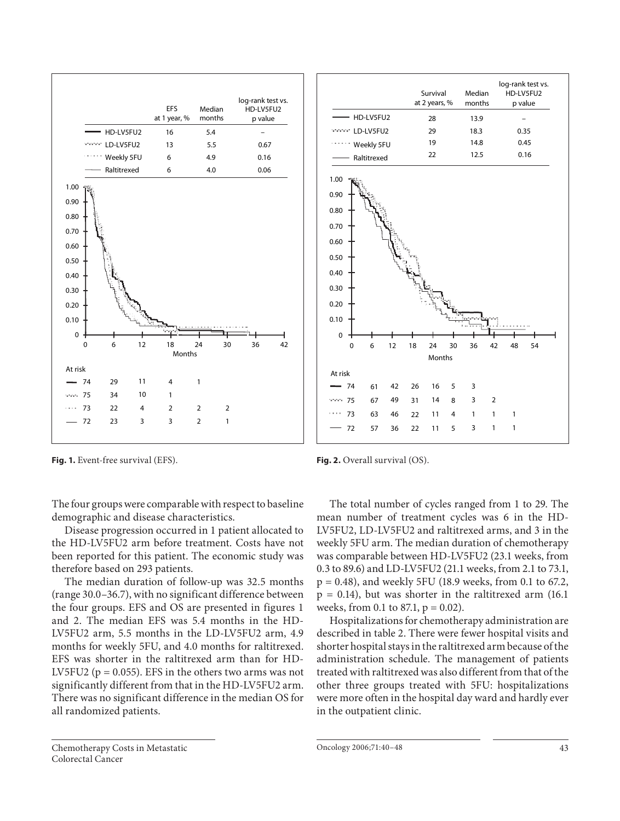

 **Fig. 1.** Event-free survival (EFS).

The four groups were comparable with respect to baseline demographic and disease characteristics.

 Disease progression occurred in 1 patient allocated to the HD-LV5FU2 arm before treatment. Costs have not been reported for this patient. The economic study was therefore based on 293 patients.

 The median duration of follow-up was 32.5 months (range 30.0–36.7), with no significant difference between the four groups. EFS and OS are presented in figures 1 and 2. The median EFS was 5.4 months in the HD-LV5FU2 arm, 5.5 months in the LD-LV5FU2 arm, 4.9 months for weekly 5FU, and 4.0 months for raltitrexed. EFS was shorter in the raltitrexed arm than for HD-LV5FU2 ( $p = 0.055$ ). EFS in the others two arms was not significantly different from that in the HD-LV5FU2 arm. There was no significant difference in the median OS for all randomized patients.



74 61 42 26 16 5 3 75 67 49 31 14 8 3 2 73 63 46 22 11 4 1 1 1 72 57 36 22 11 5 3 1 1  $\Omega$ 0 6 12 18 24 30 36 42 48 54 Months At risk

**Fig. 2.** Overall survival (OS).

 The total number of cycles ranged from 1 to 29. The mean number of treatment cycles was 6 in the HD-LV5FU2, LD-LV5FU2 and raltitrexed arms, and 3 in the weekly 5FU arm. The median duration of chemotherapy was comparable between HD-LV5FU2 (23.1 weeks, from 0.3 to 89.6) and LD-LV5FU2 (21.1 weeks, from 2.1 to 73.1, p = 0.48), and weekly 5FU (18.9 weeks, from 0.1 to 67.2,  $p = 0.14$ ), but was shorter in the raltitrexed arm (16.1) weeks, from 0.1 to 87.1,  $p = 0.02$ ).

 Hospitalizations for chemotherapy administration are described in table 2. There were fewer hospital visits and shorter hospital stays in the raltitrexed arm because of the administration schedule. The management of patients treated with raltitrexed was also different from that of the other three groups treated with 5FU: hospitalizations were more often in the hospital day ward and hardly ever in the outpatient clinic.

 Chemotherapy Costs in Metastatic Colorectal Cancer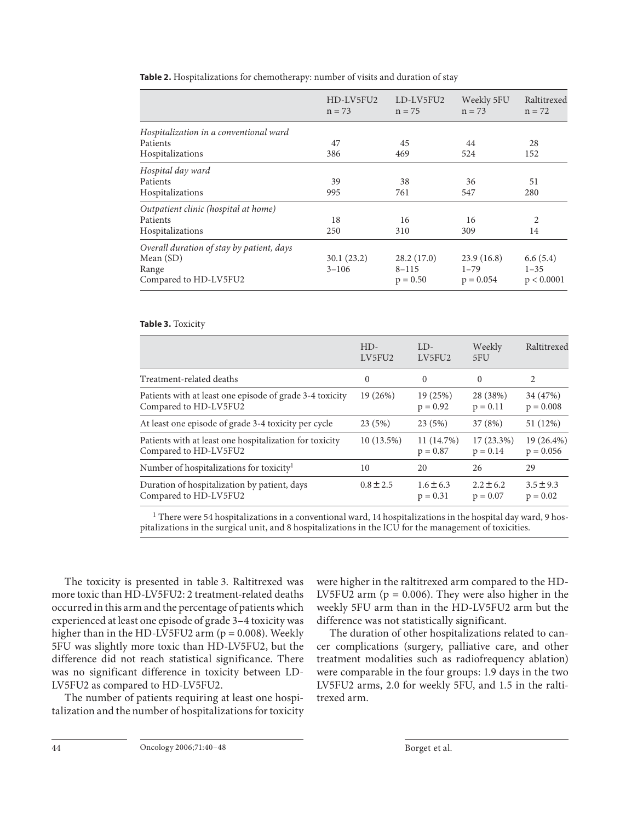| Table 2. Hospitalizations for chemotherapy: number of visits and duration of stay |  |  |  |
|-----------------------------------------------------------------------------------|--|--|--|
|-----------------------------------------------------------------------------------|--|--|--|

|                                           | HD-LV5FU2<br>$n = 73$ | LD-LV5FU2<br>$n = 75$ | Weekly 5FU<br>$n = 73$ | Raltitrexed<br>$n = 72$ |
|-------------------------------------------|-----------------------|-----------------------|------------------------|-------------------------|
| Hospitalization in a conventional ward    |                       |                       |                        |                         |
| Patients                                  | 47                    | 45                    | 44                     | 28                      |
| Hospitalizations                          | 386                   | 469                   | 524                    | 152                     |
| Hospital day ward                         |                       |                       |                        |                         |
| Patients                                  | 39                    | 38                    | 36                     | 51                      |
| Hospitalizations                          | 995                   | 761                   | 547                    | 280                     |
| Outpatient clinic (hospital at home)      |                       |                       |                        |                         |
| Patients                                  | 18                    | 16                    | 16                     | 2                       |
| Hospitalizations                          | 250                   | 310                   | 309                    | 14                      |
| Overall duration of stay by patient, days |                       |                       |                        |                         |
| Mean (SD)                                 | 30.1(23.2)            | 28.2(17.0)            | 23.9(16.8)             | 6.6(5.4)                |
| Range                                     | $3 - 106$             | $8 - 115$             | $1 - 79$               | $1 - 35$                |
| Compared to HD-LV5FU2                     |                       | $p = 0.50$            | $p = 0.054$            | p < 0.0001              |

# **Table 3.** Toxicity

|                                                                                   | $HD-$<br>LV5FU2 | $LD-$<br>LV5FU2             | Weekly<br>5FU               | Raltitrexed                 |
|-----------------------------------------------------------------------------------|-----------------|-----------------------------|-----------------------------|-----------------------------|
| Treatment-related deaths                                                          | $\Omega$        | $\Omega$                    | $\Omega$                    | 2                           |
| Patients with at least one episode of grade 3-4 toxicity<br>Compared to HD-LV5FU2 | 19 (26%)        | 19 (25%)<br>$p = 0.92$      | 28 (38%)<br>$p = 0.11$      | 34 (47%)<br>$p = 0.008$     |
| At least one episode of grade 3-4 toxicity per cycle                              | 23(5%)          | 23(5%)                      | 37 (8%)                     | 51 (12%)                    |
| Patients with at least one hospitalization for toxicity<br>Compared to HD-LV5FU2  | $10(13.5\%)$    | 11 (14.7%)<br>$p = 0.87$    | $17(23.3\%)$<br>$p = 0.14$  | 19 (26.4%)<br>$p = 0.056$   |
| Number of hospitalizations for toxicity <sup>1</sup>                              | 10              | 20                          | 26                          | 29                          |
| Duration of hospitalization by patient, days<br>Compared to HD-LV5FU2             | $0.8 \pm 2.5$   | $1.6 \pm 6.3$<br>$p = 0.31$ | $2.2 \pm 6.2$<br>$p = 0.07$ | $3.5 \pm 9.3$<br>$p = 0.02$ |

<sup>1</sup> There were 54 hospitalizations in a conventional ward, 14 hospitalizations in the hospital day ward, 9 hospitalizations in the surgical unit, and 8 hospitalizations in the ICU for the management of toxicities.

The toxicity is presented in table 3. Raltitrexed was more toxic than HD-LV5FU2: 2 treatment-related deaths occurred in this arm and the percentage of patients which experienced at least one episode of grade 3–4 toxicity was higher than in the HD-LV5FU2 arm ( $p = 0.008$ ). Weekly 5FU was slightly more toxic than HD-LV5FU2, but the difference did not reach statistical significance. There was no significant difference in toxicity between LD-LV5FU2 as compared to HD-LV5FU2.

 The number of patients requiring at least one hospitalization and the number of hospitalizations for toxicity were higher in the raltitrexed arm compared to the HD-LV5FU2 arm ( $p = 0.006$ ). They were also higher in the weekly 5FU arm than in the HD-LV5FU2 arm but the difference was not statistically significant.

 The duration of other hospitalizations related to cancer complications (surgery, palliative care, and other treatment modalities such as radiofrequency ablation) were comparable in the four groups: 1.9 days in the two LV5FU2 arms, 2.0 for weekly 5FU, and 1.5 in the raltitrexed arm.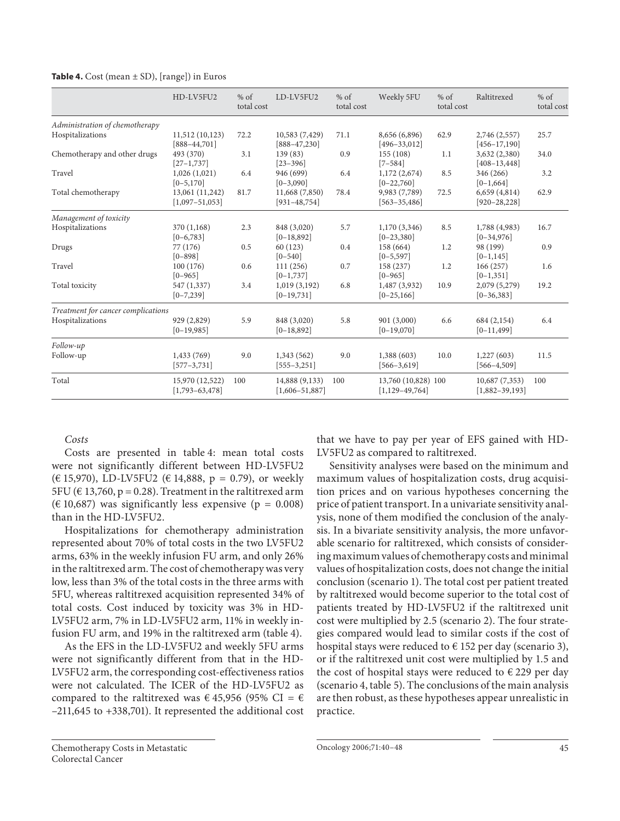|                                    | HD-LV5FU2                            | $%$ of<br>total cost | LD-LV5FU2                            | $%$ of<br>total cost | Weekly 5FU                                  | $%$ of<br>total cost | Raltitrexed                        | $%$ of<br>total cost |
|------------------------------------|--------------------------------------|----------------------|--------------------------------------|----------------------|---------------------------------------------|----------------------|------------------------------------|----------------------|
| Administration of chemotherapy     |                                      |                      |                                      |                      |                                             |                      |                                    |                      |
| Hospitalizations                   | 11,512 (10,123)<br>$[888 - 44, 701]$ | 72.2                 | 10,583 (7,429)<br>$[888-47,230]$     | 71.1                 | 8,656 (6,896)<br>$[496 - 33, 012]$          | 62.9                 | 2,746 (2,557)<br>$[456 - 17, 190]$ | 25.7                 |
| Chemotherapy and other drugs       | 493 (370)<br>$[27-1,737]$            | 3.1                  | 139(83)<br>$[23 - 396]$              | 0.9                  | 155 (108)<br>$[7 - 584]$                    | 1.1                  | 3,632 (2,380)<br>$[408 - 13, 448]$ | 34.0                 |
| Travel                             | 1,026(1,021)<br>$[0 - 5, 170]$       | 6.4                  | 946 (699)<br>$[0-3,090]$             | 6.4                  | 1,172(2,674)<br>$[0-22,760]$                | 8.5                  | 346 (266)<br>$[0-1, 664]$          | 3.2                  |
| Total chemotherapy                 | 13,061 (11,242)<br>$[1,097-51,053]$  | 81.7                 | 11,668 (7,850)<br>$[931 - 48, 754]$  | 78.4                 | 9,983 (7,789)<br>$[563 - 35,486]$           | 72.5                 | 6,659(4,814)<br>$[920 - 28, 228]$  | 62.9                 |
| Management of toxicity             |                                      |                      |                                      |                      |                                             |                      |                                    |                      |
| Hospitalizations                   | 370 (1,168)<br>$[0-6,783]$           | 2.3                  | 848 (3,020)<br>$[0-18,892]$          | 5.7                  | 1,170 (3,346)<br>$[0-23,380]$               | 8.5                  | 1,788 (4,983)<br>$[0-34,976]$      | 16.7                 |
| Drugs                              | 77 (176)<br>$[0 - 898]$              | 0.5                  | 60(123)<br>$[0 - 540]$               | 0.4                  | 158 (664)<br>$[0-5, 597]$                   | 1.2                  | 98 (199)<br>$[0-1, 145]$           | 0.9                  |
| Travel                             | 100(176)<br>$[0 - 965]$              | 0.6                  | 111(256)<br>$[0-1,737]$              | 0.7                  | 158 (237)<br>$[0 - 965]$                    | 1.2                  | 166(257)<br>$[0-1, 351]$           | 1.6                  |
| Total toxicity                     | 547 (1,337)<br>$[0 - 7, 239]$        | 3.4                  | 1,019(3,192)<br>$[0-19,731]$         | 6.8                  | 1,487 (3,932)<br>$[0-25,166]$               | 10.9                 | 2,079 (5,279)<br>$[0-36,383]$      | 19.2                 |
| Treatment for cancer complications |                                      |                      |                                      |                      |                                             |                      |                                    |                      |
| Hospitalizations                   | 929 (2,829)<br>$[0-19,985]$          | 5.9                  | 848 (3,020)<br>$[0-18,892]$          | 5.8                  | 901 (3,000)<br>$[0-19,070]$                 | 6.6                  | 684 (2,154)<br>$[0-11,499]$        | 6.4                  |
| Follow-up                          |                                      |                      |                                      |                      |                                             |                      |                                    |                      |
| Follow-up                          | 1,433 (769)<br>$[577 - 3, 731]$      | 9.0                  | 1,343(562)<br>$[555 - 3, 251]$       | 9.0                  | 1,388(603)<br>$[566 - 3, 619]$              | 10.0                 | 1,227(603)<br>$[566 - 4, 509]$     | 11.5                 |
| Total                              | 15,970 (12,522)<br>$[1,793-63,478]$  | 100                  | 14,888 (9,133)<br>$[1,606 - 51,887]$ | 100                  | 13,760 (10,828) 100<br>$[1, 129 - 49, 764]$ |                      | 10,687(7,353)<br>$[1,882-39,193]$  | 100                  |

**Table 4.** Cost (mean  $\pm$  SD), [range]) in Euros

 *Costs* 

Costs are presented in table 4: mean total costs were not significantly different between HD-LV5FU2 (€ 15,970), LD-LV5FU2 (€ 14,888, p = 0.79), or weekly 5FU ( $\in$  13,760, p = 0.28). Treatment in the raltitrexed arm ( $\in$  10,687) was significantly less expensive ( $p = 0.008$ ) than in the HD-LV5FU2.

 Hospitalizations for chemotherapy administration represented about 70% of total costs in the two LV5FU2 arms, 63% in the weekly infusion FU arm, and only 26% in the raltitrexed arm. The cost of chemotherapy was very low, less than 3% of the total costs in the three arms with 5FU, whereas raltitrexed acquisition represented 34% of total costs. Cost induced by toxicity was 3% in HD-LV5FU2 arm, 7% in LD-LV5FU2 arm, 11% in weekly infusion FU arm, and 19% in the raltitrexed arm (table 4).

 As the EFS in the LD-LV5FU2 and weekly 5FU arms were not significantly different from that in the HD-LV5FU2 arm, the corresponding cost-effectiveness ratios were not calculated. The ICER of the HD-LV5FU2 as compared to the raltitrexed was  $\epsilon$  45,956 (95% CI =  $\epsilon$ –211,645 to +338,701). It represented the additional cost that we have to pay per year of EFS gained with HD-LV5FU2 as compared to raltitrexed.

 Sensitivity analyses werebased on the minimum and maximum values of hospitalization costs, drug acquisition prices and on various hypotheses concerning the price of patient transport. In a univariate sensitivity analysis, none of them modified the conclusion of the analysis. In a bivariate sensitivity analysis, the more unfavorable scenario for raltitrexed, which consists of considering maximum values of chemotherapy costs and minimal values of hospitalization costs, does not change the initial conclusion (scenario 1). The total cost per patient treated by raltitrexed would become superior to the total cost of patients treated by HD-LV5FU2 if the raltitrexed unit cost were multiplied by 2.5 (scenario 2). The four strategies compared would lead to similar costs if the cost of hospital stays were reduced to  $\epsilon$  152 per day (scenario 3), or if the raltitrexed unit cost were multiplied by 1.5 and the cost of hospital stays were reduced to  $\epsilon$  229 per day (scenario 4, table 5). The conclusions of the main analysis are then robust, as these hypotheses appear unrealistic in practice.

Oncology 2006;71:40–48 45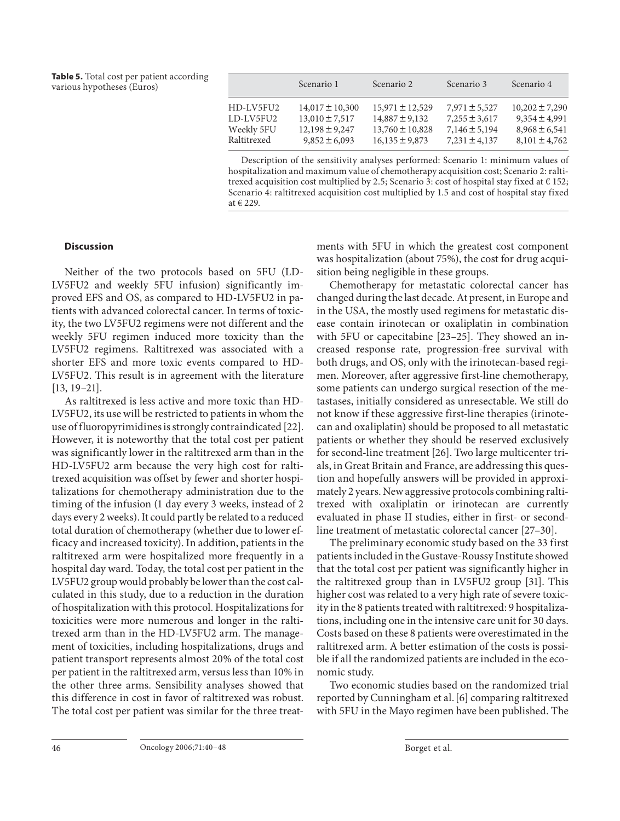**Table 5.** Total cost per patient according various hypotheses (Euros)

|             | Scenario 1          | Scenario 2          | Scenario 3        | Scenario 4         |
|-------------|---------------------|---------------------|-------------------|--------------------|
| HD-LV5FU2   | $14,017 \pm 10,300$ | $15,971 \pm 12,529$ | $7,971 \pm 5,527$ | $10,202 \pm 7,290$ |
| LD-LV5FU2   | $13.010 \pm 7.517$  | $14,887 \pm 9,132$  | $7,255 \pm 3,617$ | $9,354 \pm 4,991$  |
| Weekly 5FU  | $12,198 \pm 9,247$  | $13,760 \pm 10,828$ | $7,146 \pm 5,194$ | $8,968 \pm 6,541$  |
| Raltitrexed | $9,852 \pm 6,093$   | $16,135 \pm 9,873$  | $7,231 \pm 4,137$ | $8,101 \pm 4,762$  |

Description of the sensitivity analyses performed: Scenario 1: minimum values of hospitalization and maximum value of chemotherapy acquisition cost; Scenario 2: raltitrexed acquisition cost multiplied by 2.5; Scenario 3: cost of hospital stay fixed at  $\in$  152; Scenario 4: raltitrexed acquisition cost multiplied by 1.5 and cost of hospital stay fixed at € 229.

# **Discussion**

 Neither of the two protocols based on 5FU (LD-LV5FU2 and weekly 5FU infusion) significantly improved EFS and OS, as compared to HD-LV5FU2 in patients with advanced colorectal cancer. In terms of toxicity, the two LV5FU2 regimens were not different and the weekly 5FU regimen induced more toxicity than the LV5FU2 regimens. Raltitrexed was associated with a shorter EFS and more toxic events compared to HD-LV5FU2. This result is in agreement with the literature  $[13, 19-21]$ .

 As raltitrexed is less active and more toxic than HD-LV5FU2, its use will be restricted to patients in whom the use of fluoropyrimidines is strongly contraindicated [22] . However, it is noteworthy that the total cost per patient was significantly lower in the raltitrexed arm than in the HD-LV5FU2 arm because the very high cost for raltitrexed acquisition was offset by fewer and shorter hospitalizations for chemotherapy administration due to the timing of the infusion (1 day every 3 weeks, instead of 2 days every 2 weeks). It could partly be related to a reduced total duration of chemotherapy (whether due to lower efficacy and increased toxicity). In addition, patients in the raltitrexed arm were hospitalized more frequently in a hospital day ward. Today, the total cost per patient in the LV5FU2 group would probably be lower than the cost calculated in this study, due to a reduction in the duration of hospitalization with this protocol. Hospitalizations for toxicities were more numerous and longer in the raltitrexed arm than in the HD-LV5FU2 arm. The management of toxicities, including hospitalizations, drugs and patient transport represents almost 20% of the total cost per patient in the raltitrexed arm, versus less than 10% in the other three arms. Sensibility analyses showed that this difference in cost in favor of raltitrexed was robust. The total cost per patient was similar for the three treatments with 5FU in which the greatest cost component was hospitalization (about 75%), the cost for drug acquisition being negligible in these groups.

 Chemotherapy for metastatic colorectal cancer has changed during the last decade. At present, in Europe and in the USA, the mostly used regimens for metastatic disease contain irinotecan or oxaliplatin in combination with 5FU or capecitabine [23–25]. They showed an increased response rate, progression-free survival with both drugs, and OS, only with the irinotecan-based regimen. Moreover, after aggressive first-line chemotherapy, some patients can undergo surgical resection of the metastases, initially considered as unresectable. We still do not know if these aggressive first-line therapies (irinotecan and oxaliplatin) should be proposed to all metastatic patients or whether they should be reserved exclusively for second-line treatment [26] . Two large multicenter trials, in Great Britain and France, are addressing this question and hopefully answers will be provided in approximately 2 years. New aggressive protocols combining raltitrexed with oxaliplatin or irinotecan are currently evaluated in phase II studies, either in first- or secondline treatment of metastatic colorectal cancer [27–30] .

 The preliminary economic study based on the 33 first patients included in the Gustave-Roussy Institute showed that the total cost per patient was significantly higher in the raltitrexed group than in LV5FU2 group [31]. This higher cost was related to a very high rate of severe toxicity in the 8 patients treated with raltitrexed: 9 hospitalizations, including one in the intensive care unit for 30 days. Costs based on these 8 patients were overestimated in the raltitrexed arm. A better estimation of the costs is possible if all the randomized patients are included in the economic study.

 Two economic studies based on the randomized trial reported by Cunningham et al. [6] comparing raltitrexed with 5FU in the Mayo regimen have been published. The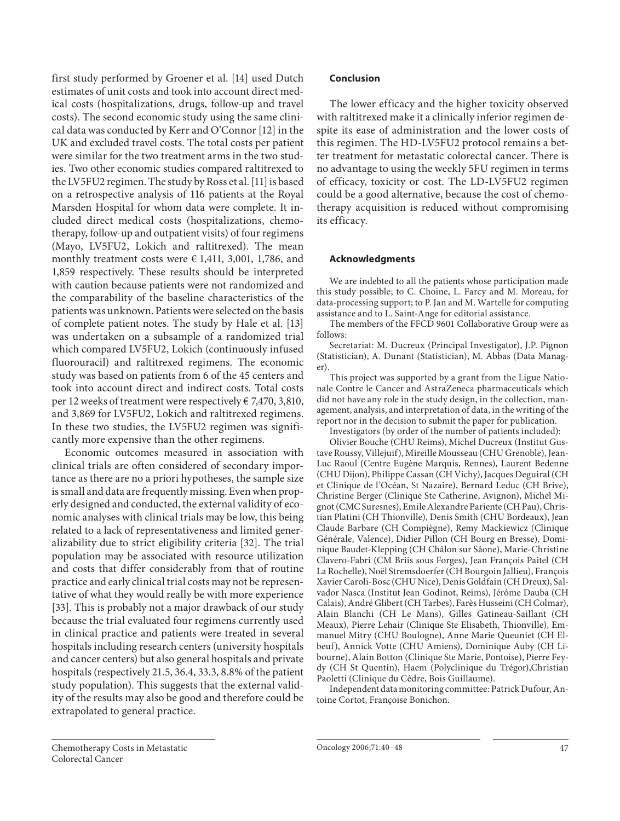first study performed by Groener et al. [14] used Dutch estimates of unit costs and took into account direct medical costs (hospitalizations, drugs, follow-up and travel costs). The second economic study using the same clinical data was conducted by Kerr and O'Connor [12] in the UK and excluded travel costs. The total costs per patient were similar for the two treatment arms in the two studies. Two other economic studies compared raltitrexed to the LV5FU2 regimen. The study by Ross et al. [11] is based on a retrospective analysis of 116 patients at the Royal Marsden Hospital for whom data were complete. It included direct medical costs (hospitalizations, chemotherapy, follow-up and outpatient visits) of four regimens (Mayo, LV5FU2, Lokich and raltitrexed). The mean monthly treatment costs were  $\epsilon$  1,411, 3,001, 1,786, and 1,859 respectively. These results should be interpreted with caution because patients were not randomized and the comparability of the baseline characteristics of the patients was unknown. Patients were selected on the basis of complete patient notes. The study by Hale et al. [13] was undertaken on a subsample of a randomized trial which compared LV5FU2, Lokich (continuously infused fluorouracil) and raltitrexed regimens. The economic study was based on patients from 6 of the 45 centers and took into account direct and indirect costs. Total costs per 12 weeks of treatment were respectively € 7,470, 3,810, and 3,869 for LV5FU2, Lokich and raltitrexed regimens. In these two studies, the LV5FU2 regimen was significantly more expensive than the other regimens.

 Economic outcomes measured in association with clinical trials are often considered of secondary importance as there are no a priori hypotheses, the sample size is small and data are frequently missing. Even when properly designed and conducted, the external validity of economic analyses with clinical trials may be low, this being related to a lack of representativeness and limited generalizability due to strict eligibility criteria [32]. The trial population may be associated with resource utilization and costs that differ considerably from that of routine practice and early clinical trial costs may not be representative of what they would really be with more experience [33]. This is probably not a major drawback of our study because the trial evaluated four regimens currently used in clinical practice and patients were treated in several hospitals including research centers (university hospitals and cancer centers) but also general hospitals and private hospitals (respectively 21.5, 36.4, 33.3, 8.8% of the patient study population). This suggests that the external validity of the results may also be good and therefore could be extrapolated to general practice.

# **Conclusion**

 The lower efficacy and the higher toxicity observed with raltitrexed make it a clinically inferior regimen despite its ease of administration and the lower costs of this regimen. The HD-LV5FU2 protocol remains a better treatment for metastatic colorectal cancer. There is no advantage to using the weekly 5FU regimen in terms of efficacy, toxicity or cost. The LD-LV5FU2 regimen could be a good alternative, because the cost of chemotherapy acquisition is reduced without compromising its efficacy.

# **Acknowledgments**

 We are indebted to all the patients whose participation made this study possible; to C. Choine, L. Farcy and M. Moreau, for data-processing support; to P. Jan and M. Wartelle for computing assistance and to L. Saint-Ange for editorial assistance.

 The members of the FFCD 9601 Collaborative Group were as follows:

 Secretariat: M. Ducreux (Principal Investigator), J.P. Pignon (Statistician), A. Dunant (Statistician), M. Abbas (Data Manager).

 This project was supported by a grant from the Ligue Nationale Contre le Cancer and AstraZeneca pharmaceuticals which did not have any role in the study design, in the collection, management, analysis, and interpretation of data, in the writing of the report nor in the decision to submit the paper for publication.

Investigators (by order of the number of patients included):

 Olivier Bouche (CHU Reims), Michel Ducreux (Institut Gustave Roussy, Villejuif), Mireille Mousseau (CHU Grenoble), Jean-Luc Raoul (Centre Eugène Marquis, Rennes), Laurent Bedenne (CHU Dijon), Philippe Cassan (CH Vichy), Jacques Deguiral (CH et Clinique de l'Océan, St Nazaire), Bernard Leduc (CH Brive), Christine Berger (Clinique Ste Catherine, Avignon), Michel Mignot (CMC Suresnes), Emile Alexandre Pariente (CH Pau), Christian Platini (CH Thionville), Denis Smith (CHU Bordeaux), Jean Claude Barbare (CH Compiègne), Remy Mackiewicz (Clinique Générale, Valence), Didier Pillon (CH Bourg en Bresse), Dominique Baudet-Klepping (CH Châlon sur Sâone), Marie-Christine Clavero-Fabri (CM Briis sous Forges), Jean François Paitel (CH La Rochelle), Noël Stremsdoerfer (CH Bourgoin Jallieu), François Xavier Caroli-Bosc (CHU Nice), Denis Goldfain (CH Dreux), Salvador Nasca (Institut Jean Godinot, Reims), Jérôme Dauba (CH Calais), André Glibert (CH Tarbes), Farès Husseini (CH Colmar), Alain Blanchi (CH Le Mans), Gilles Gatineau-Saillant (CH Meaux), Pierre Lehair (Clinique Ste Elisabeth, Thionville), Emmanuel Mitry (CHU Boulogne), Anne Marie Queuniet (CH Elbeuf), Annick Votte (CHU Amiens), Dominique Auby (CH Libourne), Alain Botton (Clinique Ste Marie, Pontoise), Pierre Feydy (CH St Quentin), Haem (Polyclinique du Trégor), Christian Paoletti (Clinique du Cêdre, Bois Guillaume).

 Independent data monitoring committee: Patrick Dufour, Antoine Cortot, Françoise Bonichon.

Chemotherapy Costs in Metastatic Colorectal Cancer